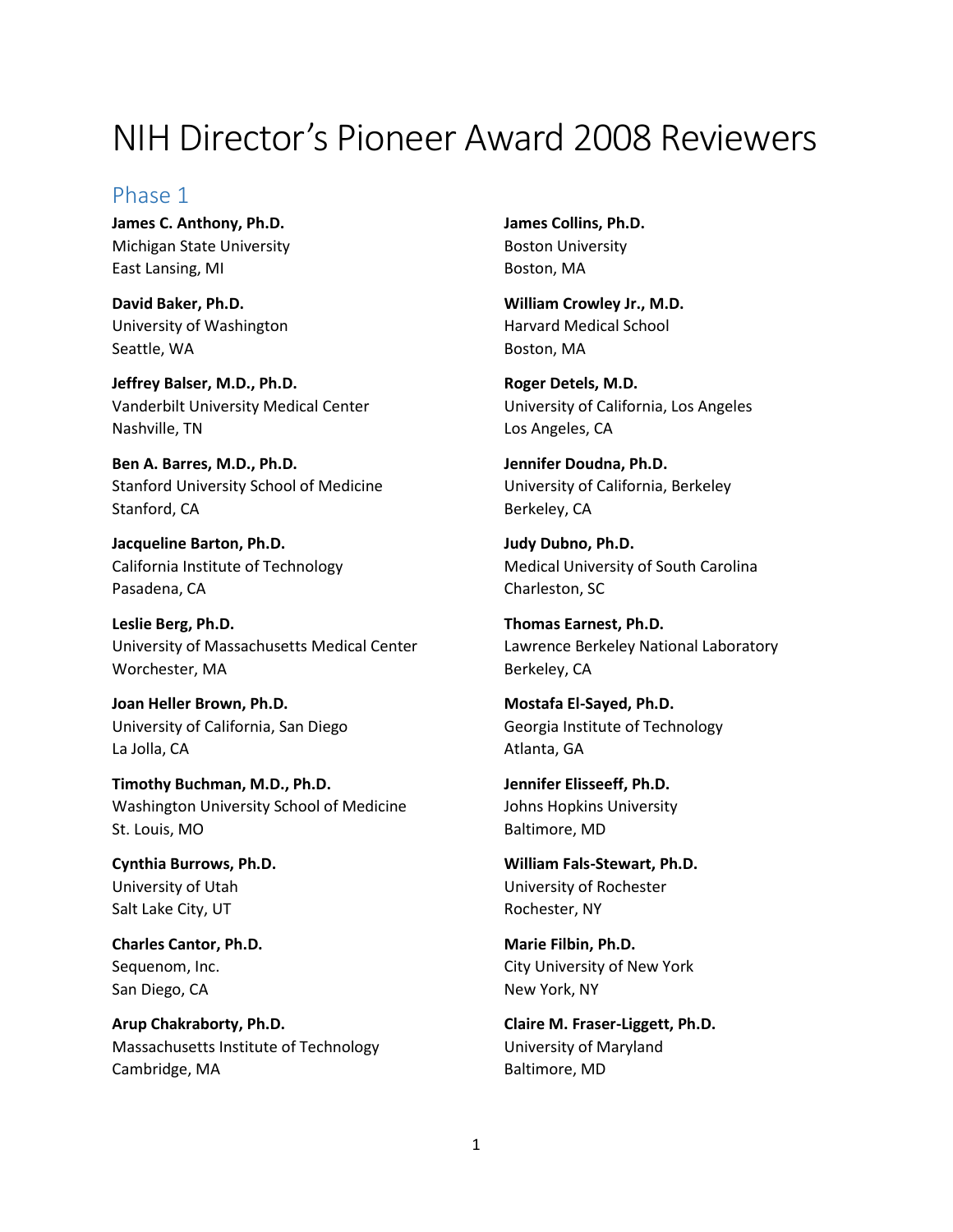# NIH Director's Pioneer Award 2008 Reviewers

## Phase 1

**James C. Anthony, Ph.D.** Michigan State University East Lansing, MI

**David Baker, Ph.D.** University of Washington Seattle, WA

**Jeffrey Balser, M.D., Ph.D.** Vanderbilt University Medical Center Nashville, TN

**Ben A. Barres, M.D., Ph.D.** Stanford University School of Medicine Stanford, CA

**Jacqueline Barton, Ph.D.** California Institute of Technology Pasadena, CA

**Leslie Berg, Ph.D.** University of Massachusetts Medical Center Worchester, MA

**Joan Heller Brown, Ph.D.** University of California, San Diego La Jolla, CA

**Timothy Buchman, M.D., Ph.D.** Washington University School of Medicine St. Louis, MO

**Cynthia Burrows, Ph.D.** University of Utah Salt Lake City, UT

**Charles Cantor, Ph.D.** Sequenom, Inc. San Diego, CA

**Arup Chakraborty, Ph.D.** Massachusetts Institute of Technology Cambridge, MA

**James Collins, Ph.D.** Boston University Boston, MA

**William Crowley Jr., M.D.** Harvard Medical School Boston, MA

**Roger Detels, M.D.** University of California, Los Angeles Los Angeles, CA

**Jennifer Doudna, Ph.D.** University of California, Berkeley Berkeley, CA

**Judy Dubno, Ph.D.** Medical University of South Carolina Charleston, SC

**Thomas Earnest, Ph.D.** Lawrence Berkeley National Laboratory Berkeley, CA

**Mostafa El-Sayed, Ph.D.** Georgia Institute of Technology Atlanta, GA

**Jennifer Elisseeff, Ph.D.** Johns Hopkins University Baltimore, MD

**William Fals-Stewart, Ph.D.** University of Rochester Rochester, NY

**Marie Filbin, Ph.D.** City University of New York New York, NY

**Claire M. Fraser-Liggett, Ph.D.** University of Maryland Baltimore, MD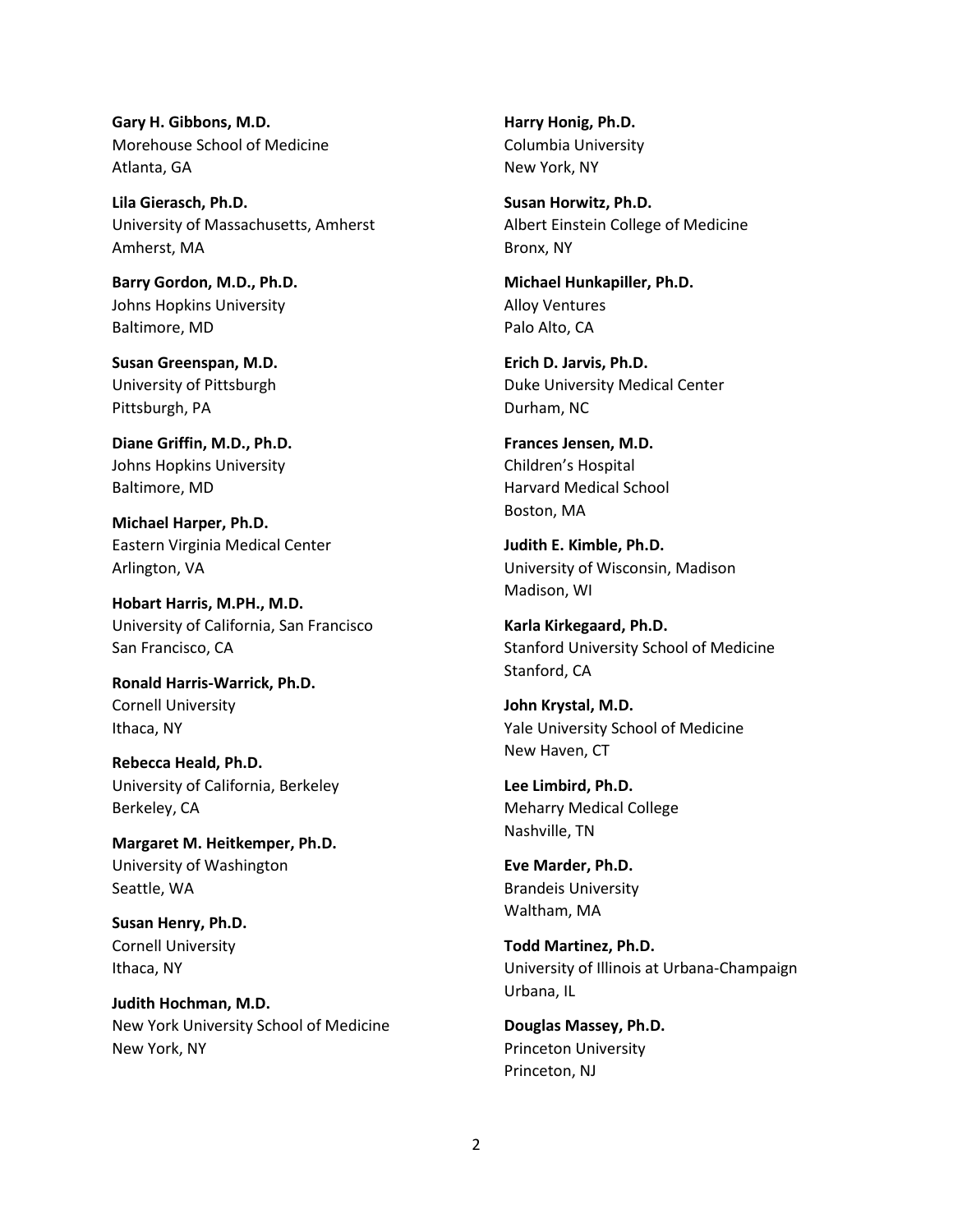**Gary H. Gibbons, M.D.** Morehouse School of Medicine Atlanta, GA

**Lila Gierasch, Ph.D.** University of Massachusetts, Amherst Amherst, MA

**Barry Gordon, M.D., Ph.D.** Johns Hopkins University Baltimore, MD

**Susan Greenspan, M.D.** University of Pittsburgh Pittsburgh, PA

**Diane Griffin, M.D., Ph.D.** Johns Hopkins University Baltimore, MD

**Michael Harper, Ph.D.** Eastern Virginia Medical Center Arlington, VA

**Hobart Harris, M.PH., M.D.** University of California, San Francisco San Francisco, CA

**Ronald Harris-Warrick, Ph.D.** Cornell University Ithaca, NY

**Rebecca Heald, Ph.D.** University of California, Berkeley Berkeley, CA

**Margaret M. Heitkemper, Ph.D.** University of Washington Seattle, WA

**Susan Henry, Ph.D.** Cornell University Ithaca, NY

**Judith Hochman, M.D.** New York University School of Medicine New York, NY

**Harry Honig, Ph.D.** Columbia University New York, NY

**Susan Horwitz, Ph.D.** Albert Einstein College of Medicine Bronx, NY

**Michael Hunkapiller, Ph.D.** Alloy Ventures Palo Alto, CA

**Erich D. Jarvis, Ph.D.** Duke University Medical Center Durham, NC

**Frances Jensen, M.D.** Children's Hospital Harvard Medical School Boston, MA

**Judith E. Kimble, Ph.D.** University of Wisconsin, Madison Madison, WI

**Karla Kirkegaard, Ph.D.** Stanford University School of Medicine Stanford, CA

**John Krystal, M.D.** Yale University School of Medicine New Haven, CT

**Lee Limbird, Ph.D.** Meharry Medical College Nashville, TN

**Eve Marder, Ph.D.** Brandeis University Waltham, MA

**Todd Martinez, Ph.D.** University of Illinois at Urbana-Champaign Urbana, IL

**Douglas Massey, Ph.D.** Princeton University Princeton, NJ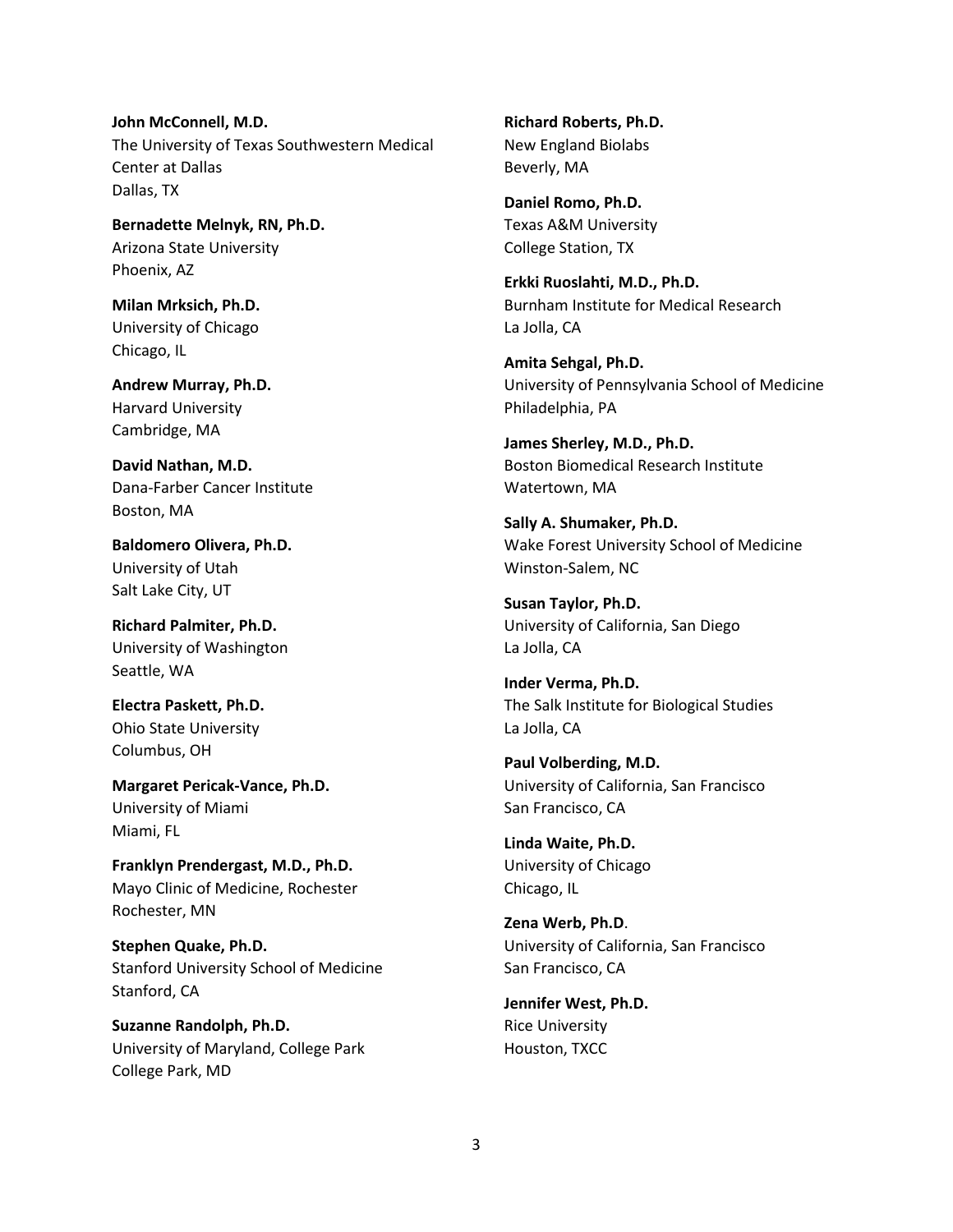**John McConnell, M.D.** The University of Texas Southwestern Medical Center at Dallas Dallas, TX

**Bernadette Melnyk, RN, Ph.D.** Arizona State University Phoenix, AZ

**Milan Mrksich, Ph.D.** University of Chicago Chicago, IL

**Andrew Murray, Ph.D.** Harvard University Cambridge, MA

**David Nathan, M.D.** Dana-Farber Cancer Institute Boston, MA

**Baldomero Olivera, Ph.D.** University of Utah Salt Lake City, UT

**Richard Palmiter, Ph.D.** University of Washington Seattle, WA

**Electra Paskett, Ph.D.** Ohio State University Columbus, OH

**Margaret Pericak-Vance, Ph.D.** University of Miami Miami, FL

**Franklyn Prendergast, M.D., Ph.D.** Mayo Clinic of Medicine, Rochester Rochester, MN

**Stephen Quake, Ph.D.** Stanford University School of Medicine Stanford, CA

**Suzanne Randolph, Ph.D.** University of Maryland, College Park College Park, MD

**Richard Roberts, Ph.D.** New England Biolabs Beverly, MA

**Daniel Romo, Ph.D.** Texas A&M University College Station, TX

**Erkki Ruoslahti, M.D., Ph.D.** Burnham Institute for Medical Research La Jolla, CA

**Amita Sehgal, Ph.D.** University of Pennsylvania School of Medicine Philadelphia, PA

**James Sherley, M.D., Ph.D.** Boston Biomedical Research Institute Watertown, MA

**Sally A. Shumaker, Ph.D.** Wake Forest University School of Medicine Winston-Salem, NC

**Susan Taylor, Ph.D.** University of California, San Diego La Jolla, CA

**Inder Verma, Ph.D.** The Salk Institute for Biological Studies La Jolla, CA

**Paul Volberding, M.D.** University of California, San Francisco San Francisco, CA

**Linda Waite, Ph.D.** University of Chicago Chicago, IL

**Zena Werb, Ph.D**. University of California, San Francisco San Francisco, CA

**Jennifer West, Ph.D.** Rice University Houston, TXCC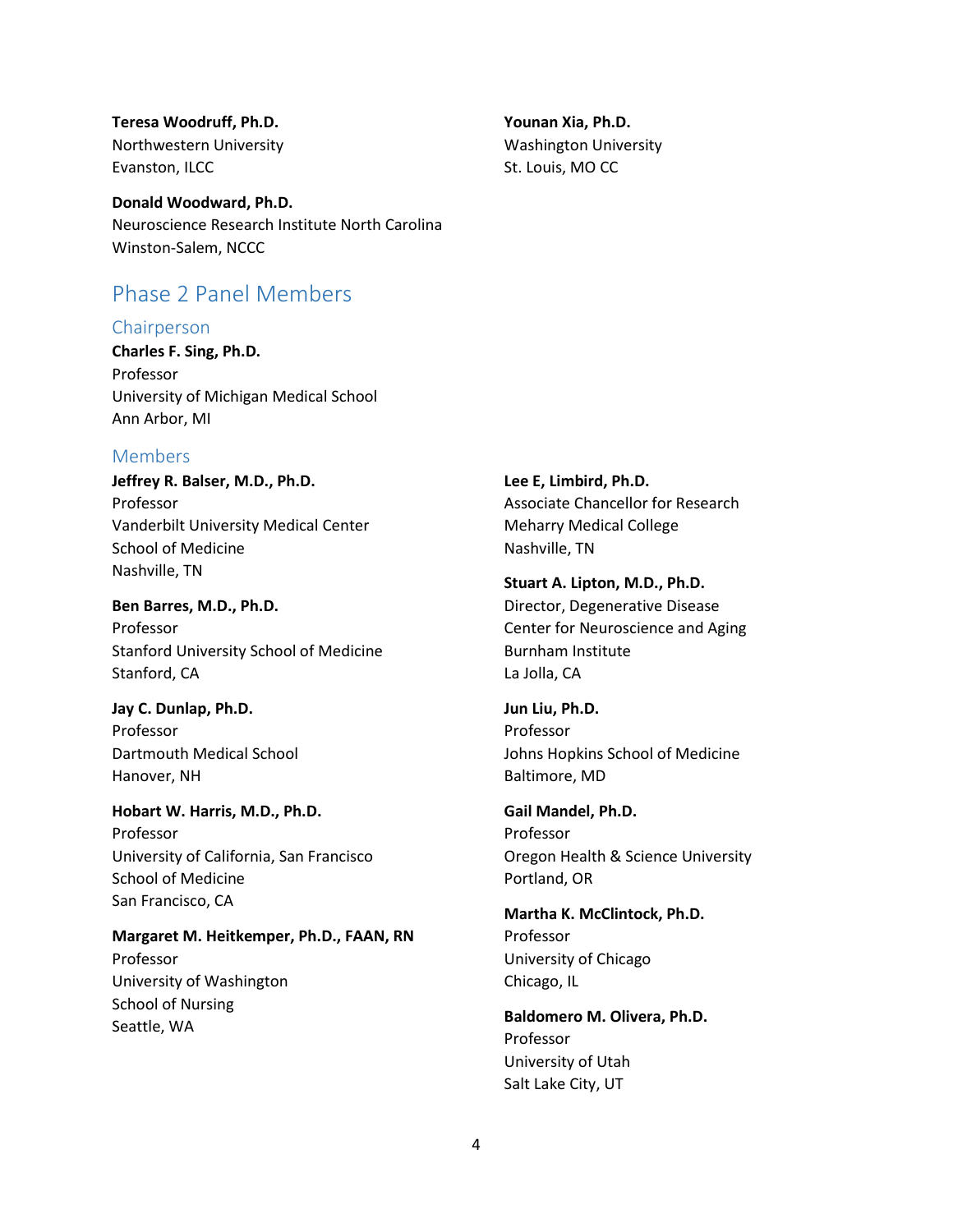**Teresa Woodruff, Ph.D.** Northwestern University Evanston, ILCC

**Donald Woodward, Ph.D.** Neuroscience Research Institute North Carolina Winston-Salem, NCCC

## Phase 2 Panel Members

### Chairperson

**Charles F. Sing, Ph.D.** Professor University of Michigan Medical School Ann Arbor, MI

### Members

**Jeffrey R. Balser, M.D., Ph.D.** Professor Vanderbilt University Medical Center School of Medicine Nashville, TN

**Ben Barres, M.D., Ph.D.** Professor Stanford University School of Medicine Stanford, CA

**Jay C. Dunlap, Ph.D.** Professor Dartmouth Medical School Hanover, NH

**Hobart W. Harris, M.D., Ph.D.** Professor University of California, San Francisco School of Medicine San Francisco, CA

**Margaret M. Heitkemper, Ph.D., FAAN, RN** Professor University of Washington School of Nursing Seattle, WA

**Younan Xia, Ph.D.** Washington University St. Louis, MO CC

**Lee E, Limbird, Ph.D.** Associate Chancellor for Research Meharry Medical College Nashville, TN

**Stuart A. Lipton, M.D., Ph.D.** Director, Degenerative Disease Center for Neuroscience and Aging Burnham Institute La Jolla, CA

**Jun Liu, Ph.D.** Professor Johns Hopkins School of Medicine Baltimore, MD

**Gail Mandel, Ph.D.** Professor Oregon Health & Science University Portland, OR

**Martha K. McClintock, Ph.D.** Professor University of Chicago Chicago, IL

**Baldomero M. Olivera, Ph.D.** Professor University of Utah Salt Lake City, UT